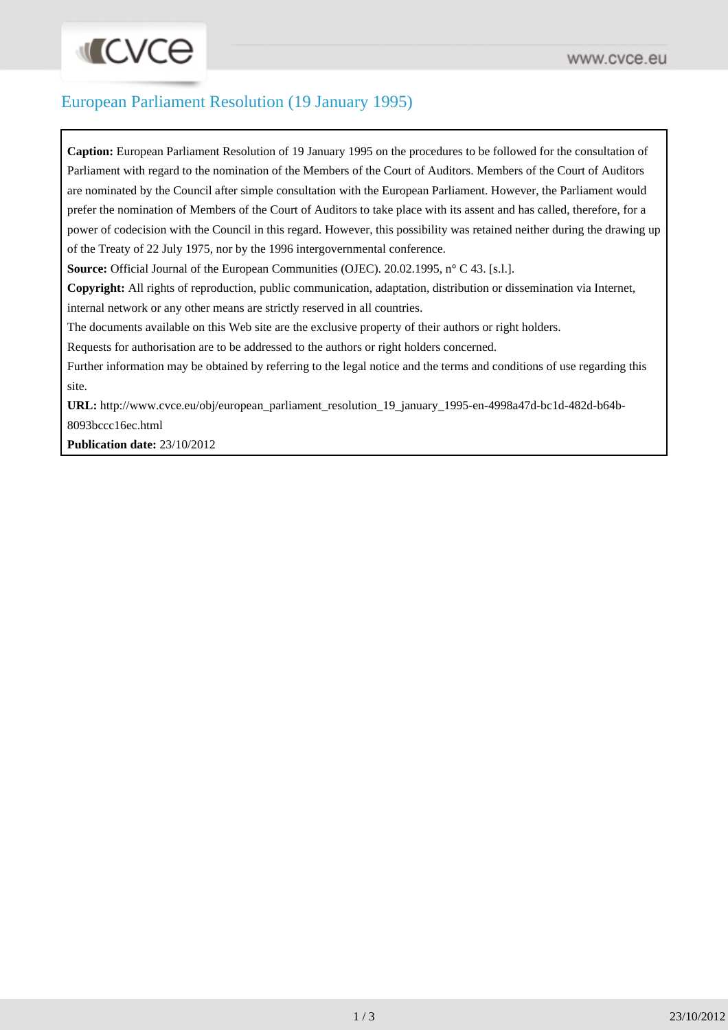### European Parliament Resolution (19 January 1995)

**Caption:** European Parliament Resolution of 19 January 1995 on the procedures to be followed for the consultation of Parliament with regard to the nomination of the Members of the Court of Auditors. Members of the Court of Auditors are nominated by the Council after simple consultation with the European Parliament. However, the Parliament would prefer the nomination of Members of the Court of Auditors to take place with its assent and has called, therefore, for a power of codecision with the Council in this regard. However, this possibility was retained neither during the drawing up of the Treaty of 22 July 1975, nor by the 1996 intergovernmental conference.

**Source:** Official Journal of the European Communities (OJEC). 20.02.1995, n° C 43. [s.l.].

**Copyright:** All rights of reproduction, public communication, adaptation, distribution or dissemination via Internet, internal network or any other means are strictly reserved in all countries.

The documents available on this Web site are the exclusive property of their authors or right holders.

Requests for authorisation are to be addressed to the authors or right holders concerned.

Further information may be obtained by referring to the legal notice and the terms and conditions of use regarding this site.

**URL:** [http://www.cvce.eu/obj/european\\_parliament\\_resolution\\_19\\_january\\_1995-en-4998a47d-bc1d-482d-b64b-](http://www.cvce.eu/obj/european_parliament_resolution_19_january_1995-en-4998a47d-bc1d-482d-b64b-8093bccc16ec.html)[8093bccc16ec.html](http://www.cvce.eu/obj/european_parliament_resolution_19_january_1995-en-4998a47d-bc1d-482d-b64b-8093bccc16ec.html)

**Publication date:** 23/10/2012

**INCVCO**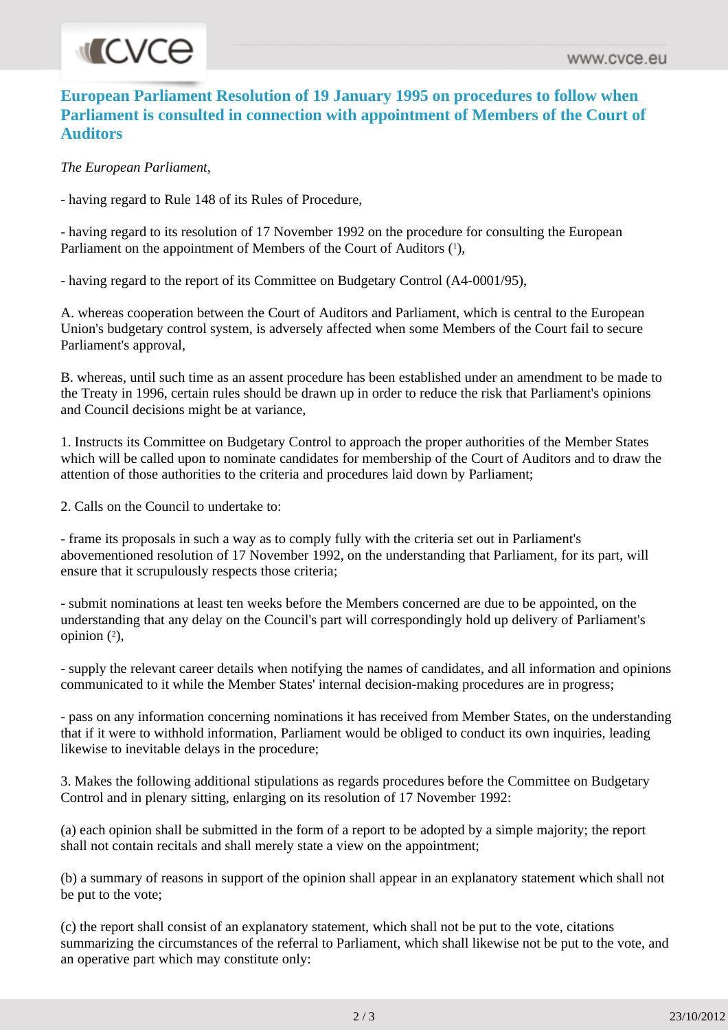# **INCVCe**

#### **European Parliament Resolution of 19 January 1995 on procedures to follow when Parliament is consulted in connection with appointment of Members of the Court of Auditors**

*The European Parliament,*

- having regard to Rule 148 of its Rules of Procedure,

- having regard to its resolution of 17 November 1992 on the procedure for consulting the European Parliament on the appointment of Members of the Court of Auditors (1),

- having regard to the report of its Committee on Budgetary Control (A4-0001/95),

A. whereas cooperation between the Court of Auditors and Parliament, which is central to the European Union's budgetary control system, is adversely affected when some Members of the Court fail to secure Parliament's approval,

B. whereas, until such time as an assent procedure has been established under an amendment to be made to the Treaty in 1996, certain rules should be drawn up in order to reduce the risk that Parliament's opinions and Council decisions might be at variance,

1. Instructs its Committee on Budgetary Control to approach the proper authorities of the Member States which will be called upon to nominate candidates for membership of the Court of Auditors and to draw the attention of those authorities to the criteria and procedures laid down by Parliament;

2. Calls on the Council to undertake to:

- frame its proposals in such a way as to comply fully with the criteria set out in Parliament's abovementioned resolution of 17 November 1992, on the understanding that Parliament, for its part, will ensure that it scrupulously respects those criteria;

- submit nominations at least ten weeks before the Members concerned are due to be appointed, on the understanding that any delay on the Council's part will correspondingly hold up delivery of Parliament's opinion  $(^{2})$ ,

- supply the relevant career details when notifying the names of candidates, and all information and opinions communicated to it while the Member States' internal decision-making procedures are in progress;

- pass on any information concerning nominations it has received from Member States, on the understanding that if it were to withhold information, Parliament would be obliged to conduct its own inquiries, leading likewise to inevitable delays in the procedure;

3. Makes the following additional stipulations as regards procedures before the Committee on Budgetary Control and in plenary sitting, enlarging on its resolution of 17 November 1992:

(a) each opinion shall be submitted in the form of a report to be adopted by a simple majority; the report shall not contain recitals and shall merely state a view on the appointment;

(b) a summary of reasons in support of the opinion shall appear in an explanatory statement which shall not be put to the vote;

(c) the report shall consist of an explanatory statement, which shall not be put to the vote, citations summarizing the circumstances of the referral to Parliament, which shall likewise not be put to the vote, and an operative part which may constitute only: